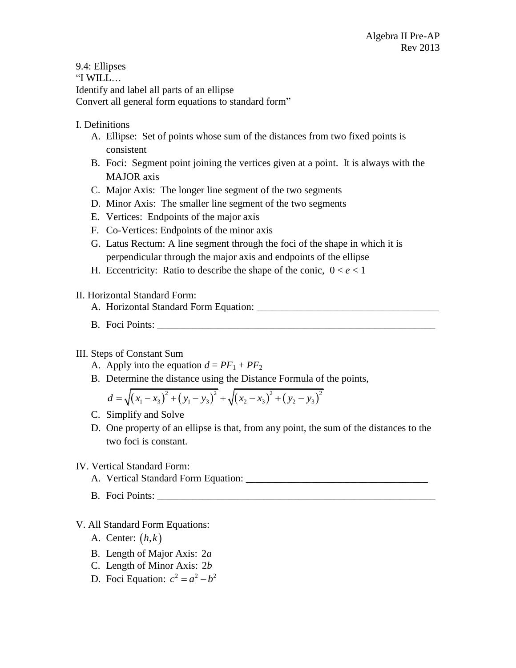9.4: Ellipses "I WILL… Identify and label all parts of an ellipse Convert all general form equations to standard form"

## I. Definitions

- A. Ellipse: Set of points whose sum of the distances from two fixed points is consistent
- B. Foci: Segment point joining the vertices given at a point. It is always with the MAJOR axis
- C. Major Axis: The longer line segment of the two segments
- D. Minor Axis: The smaller line segment of the two segments
- E. Vertices: Endpoints of the major axis
- F. Co-Vertices: Endpoints of the minor axis
- G. Latus Rectum: A line segment through the foci of the shape in which it is perpendicular through the major axis and endpoints of the ellipse
- H. Eccentricity: Ratio to describe the shape of the conic,  $0 < e < 1$

### II. Horizontal Standard Form:

- A. Horizontal Standard Form Equation: \_\_\_\_\_\_\_\_\_\_\_\_\_\_\_\_\_\_\_\_\_\_\_\_\_\_\_\_\_\_\_\_\_\_\_\_
- B. Foci Points:

### III. Steps of Constant Sum

- A. Apply into the equation  $d = PF_1 + PF_2$
- B. Determine the distance using the Distance Formula of the points,<br>  $d = \sqrt{(x x)^2 + (y y)^2} + \sqrt{(x x)^2 + (y y)^2}$

Determine the distance using the Distance Formula of the  

$$
d = \sqrt{(x_1 - x_3)^2 + (y_1 - y_3)^2} + \sqrt{(x_2 - x_3)^2 + (y_2 - y_3)^2}
$$

- C. Simplify and Solve
- D. One property of an ellipse is that, from any point, the sum of the distances to the two foci is constant.

### IV. Vertical Standard Form:

- A. Vertical Standard Form Equation: \_\_\_\_\_\_\_\_\_\_\_\_\_\_\_\_\_\_\_\_\_\_\_\_\_\_\_\_\_\_\_\_\_\_\_\_
- B. Foci Points:

# V. All Standard Form Equations:

- A. Center: *h k*,
- B. Length of Major Axis: 2*a*
- C. Length of Minor Axis: 2*b*
- D. Foci Equation:  $c^2 = a^2 b^2$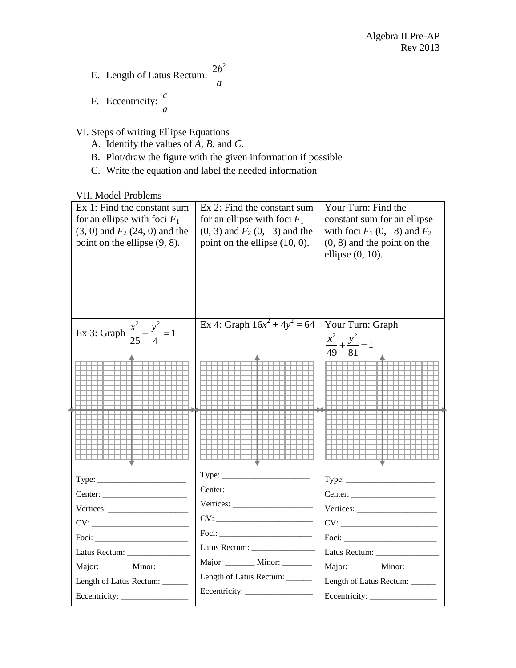- E. Length of Latus Rectum:  $2b^2$ *a*
- F. Eccentricity: *c a*

VI. Steps of writing Ellipse Equations

- A. Identify the values of *A*, *B*, and *C*.
- B. Plot/draw the figure with the given information if possible
- C. Write the equation and label the needed information

VII. Model Problems

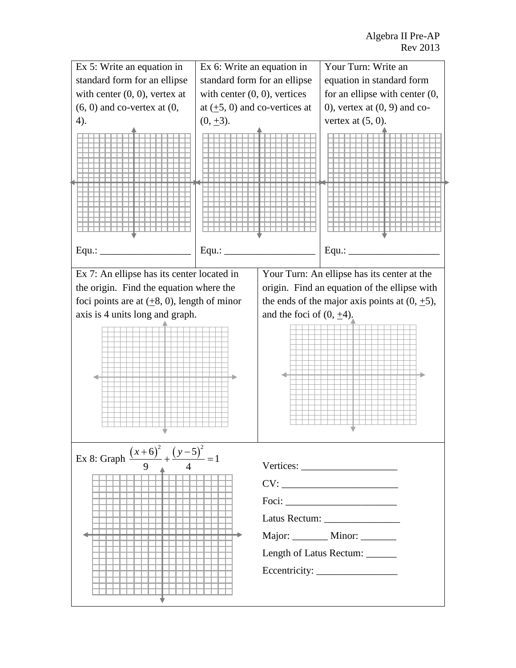